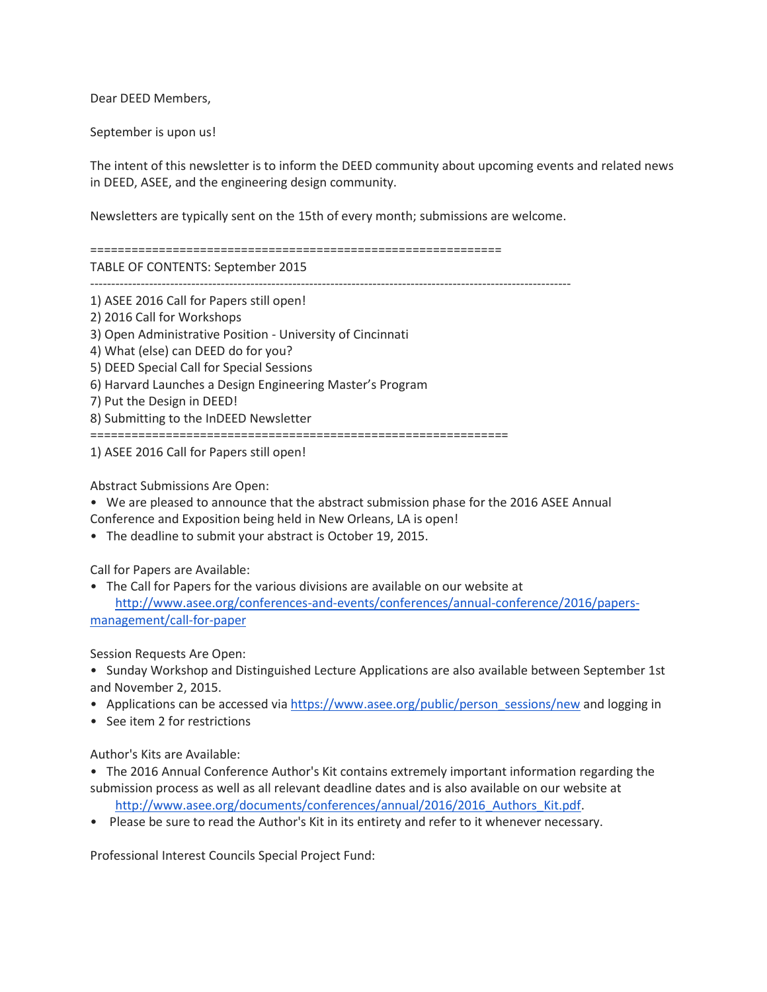Dear DEED Members,

September is upon us!

The intent of this newsletter is to inform the DEED community about upcoming events and related news in DEED, ASEE, and the engineering design community.

Newsletters are typically sent on the 15th of every month; submissions are welcome.

============================================================

TABLE OF CONTENTS: September 2015

------------------------------------------------------------------------------------------------------------------

1) ASEE 2016 Call for Papers still open! 2) 2016 Call for Workshops 3) Open Administrative Position - University of Cincinnati 4) What (else) can DEED do for you? 5) DEED Special Call for Special Sessions 6) Harvard Launches a Design Engineering Master's Program 7) Put the Design in DEED! 8) Submitting to the InDEED Newsletter =============================================================

1) ASEE 2016 Call for Papers still open!

Abstract Submissions Are Open:

• We are pleased to announce that the abstract submission phase for the 2016 ASEE Annual

Conference and Exposition being held in New Orleans, LA is open!

• The deadline to submit your abstract is October 19, 2015.

Call for Papers are Available:

• The Call for Papers for the various divisions are available on our website at [http://www.asee.org/conferences-and-events/conferences/annual-conference/2016/papers](http://www.asee.org/conferences-and-events/conferences/annual-conference/2016/papers-management/call-for-paper)[management/call-for-paper](http://www.asee.org/conferences-and-events/conferences/annual-conference/2016/papers-management/call-for-paper)

Session Requests Are Open:

• Sunday Workshop and Distinguished Lecture Applications are also available between September 1st and November 2, 2015.

- Applications can be accessed via [https://www.asee.org/public/person\\_sessions/new](https://www.asee.org/public/person_sessions/new) and logging in
- See item 2 for restrictions

Author's Kits are Available:

• The 2016 Annual Conference Author's Kit contains extremely important information regarding the submission process as well as all relevant deadline dates and is also available on our website at

http://www.asee.org/documents/conferences/annual/2016/2016 Authors Kit.pdf.

• Please be sure to read the Author's Kit in its entirety and refer to it whenever necessary.

Professional Interest Councils Special Project Fund: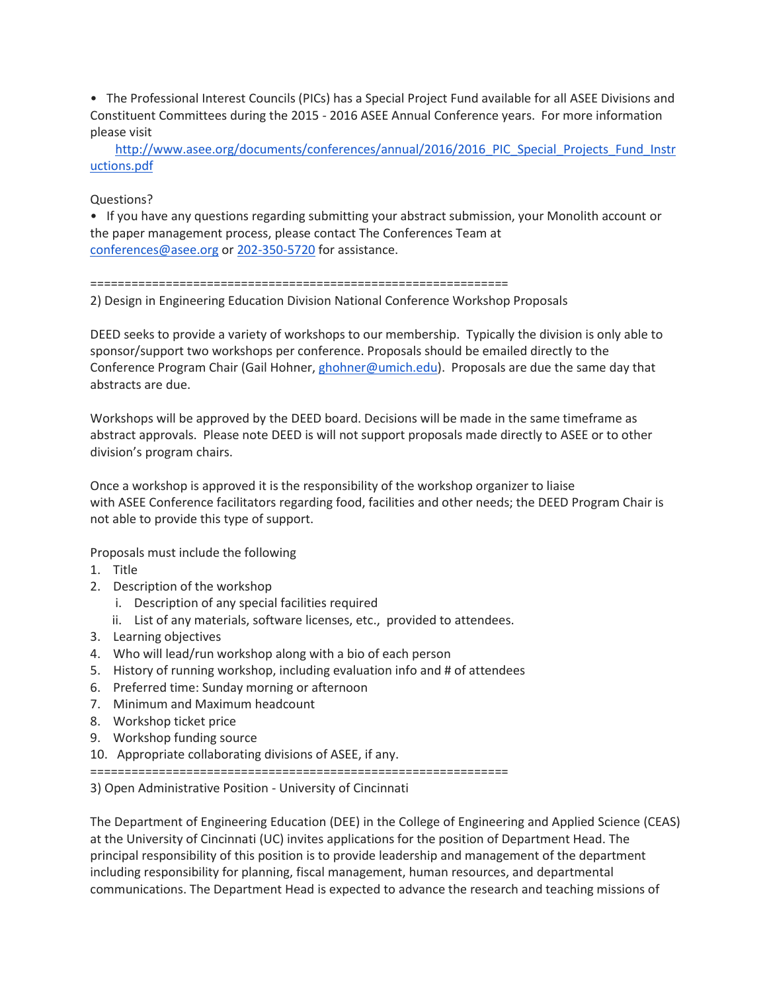• The Professional Interest Councils (PICs) has a Special Project Fund available for all ASEE Divisions and Constituent Committees during the 2015 - 2016 ASEE Annual Conference years. For more information please visit

[http://www.asee.org/documents/conferences/annual/2016/2016\\_PIC\\_Special\\_Projects\\_Fund\\_Instr](http://www.asee.org/documents/conferences/annual/2016/2016_PIC_Special_Projects_Fund_Instructions.pdf) [uctions.pdf](http://www.asee.org/documents/conferences/annual/2016/2016_PIC_Special_Projects_Fund_Instructions.pdf)

## Questions?

• If you have any questions regarding submitting your abstract submission, your Monolith account or the paper management process, please contact The Conferences Team at [conferences@asee.org](mailto:conferences@asee.org) or [202-350-5720](tel:202-350-5720) for assistance.

## =============================================================

2) Design in Engineering Education Division National Conference Workshop Proposals

DEED seeks to provide a variety of workshops to our membership. Typically the division is only able to sponsor/support two workshops per conference. Proposals should be emailed directly to the Conference Program Chair (Gail Hohner, [ghohner@umich.edu\)](mailto:ghohner@umich.edu). Proposals are due the same day that abstracts are due.

Workshops will be approved by the DEED board. Decisions will be made in the same timeframe as abstract approvals. Please note DEED is will not support proposals made directly to ASEE or to other division's program chairs.

Once a workshop is approved it is the responsibility of the workshop organizer to liaise with ASEE Conference facilitators regarding food, facilities and other needs; the DEED Program Chair is not able to provide this type of support.

Proposals must include the following

- 1. Title
- 2. Description of the workshop
	- i. Description of any special facilities required
	- ii. List of any materials, software licenses, etc., provided to attendees.
- 3. Learning objectives
- 4. Who will lead/run workshop along with a bio of each person
- 5. History of running workshop, including evaluation info and # of attendees
- 6. Preferred time: Sunday morning or afternoon
- 7. Minimum and Maximum headcount
- 8. Workshop ticket price
- 9. Workshop funding source
- 10. Appropriate collaborating divisions of ASEE, if any.

=============================================================

3) Open Administrative Position - University of Cincinnati

The Department of Engineering Education (DEE) in the College of Engineering and Applied Science (CEAS) at the University of Cincinnati (UC) invites applications for the position of Department Head. The principal responsibility of this position is to provide leadership and management of the department including responsibility for planning, fiscal management, human resources, and departmental communications. The Department Head is expected to advance the research and teaching missions of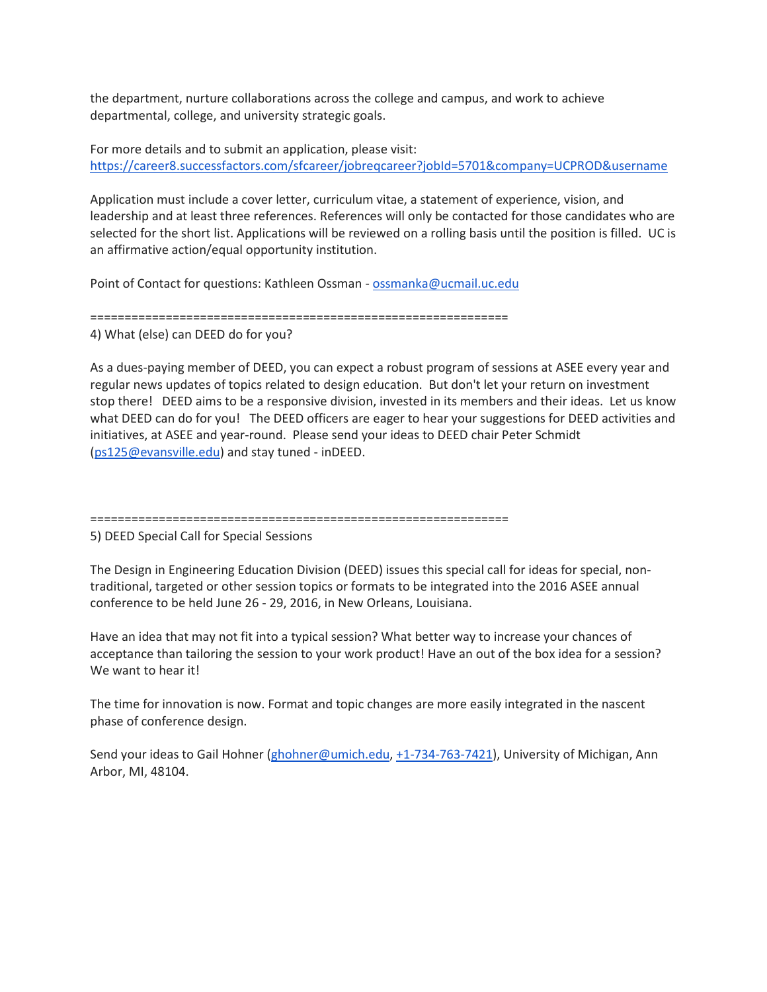the department, nurture collaborations across the college and campus, and work to achieve departmental, college, and university strategic goals.

For more details and to submit an application, please visit: <https://career8.successfactors.com/sfcareer/jobreqcareer?jobId=5701&company=UCPROD&username>

Application must include a cover letter, curriculum vitae, a statement of experience, vision, and leadership and at least three references. References will only be contacted for those candidates who are selected for the short list. Applications will be reviewed on a rolling basis until the position is filled. UC is an affirmative action/equal opportunity institution.

Point of Contact for questions: Kathleen Ossman - [ossmanka@ucmail.uc.edu](mailto:ossmanka@ucmail.uc.edu)

=============================================================

4) What (else) can DEED do for you?

As a dues-paying member of DEED, you can expect a robust program of sessions at ASEE every year and regular news updates of topics related to design education. But don't let your return on investment stop there! DEED aims to be a responsive division, invested in its members and their ideas. Let us know what DEED can do for you! The DEED officers are eager to hear your suggestions for DEED activities and initiatives, at ASEE and year-round. Please send your ideas to DEED chair Peter Schmidt [\(ps125@evansville.edu\)](mailto:ps125@evansville.edu) and stay tuned - inDEED.

=============================================================

5) DEED Special Call for Special Sessions

The Design in Engineering Education Division (DEED) issues this special call for ideas for special, nontraditional, targeted or other session topics or formats to be integrated into the 2016 ASEE annual conference to be held June 26 - 29, 2016, in New Orleans, Louisiana.

Have an idea that may not fit into a typical session? What better way to increase your chances of acceptance than tailoring the session to your work product! Have an out of the box idea for a session? We want to hear it!

The time for innovation is now. Format and topic changes are more easily integrated in the nascent phase of conference design.

Send your ideas to Gail Hohner [\(ghohner@umich.edu,](mailto:ghohner@umich.edu) [+1-734-763-7421\)](tel:%2B1-734-763-7421), University of Michigan, Ann Arbor, MI, 48104.